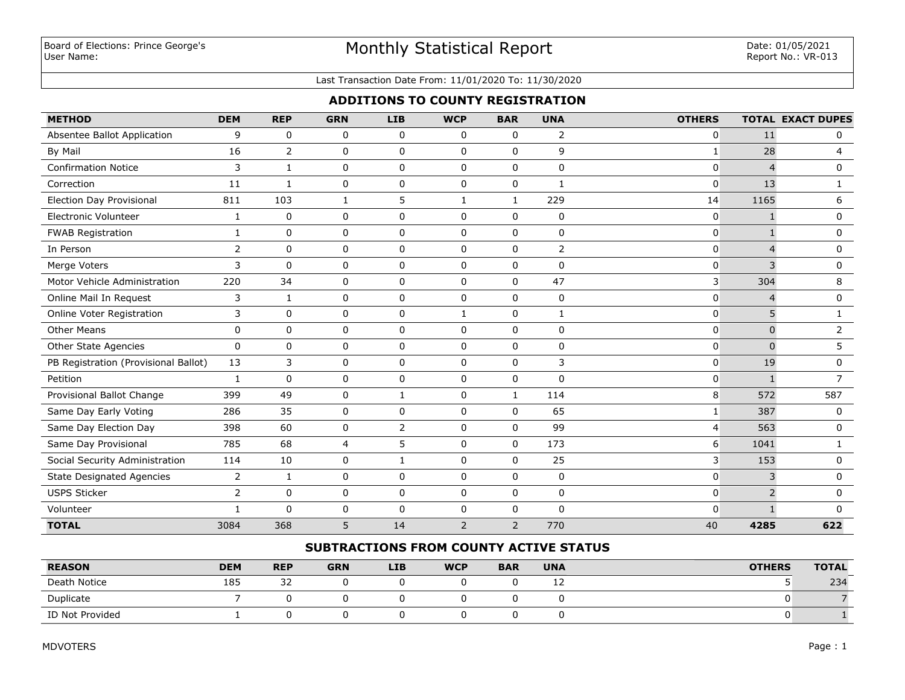# Monthly Statistical Report

#### Last Transaction Date From: 11/01/2020 To: 11/30/2020

#### **ADDITIONS TO COUNTY REGISTRATION**

| <b>METHOD</b>                        | <b>DEM</b>     | <b>REP</b>     | <b>GRN</b> | <b>LIB</b>   | <b>WCP</b>     | <b>BAR</b>     | <b>UNA</b>     | <b>OTHERS</b>  |                | <b>TOTAL EXACT DUPES</b> |
|--------------------------------------|----------------|----------------|------------|--------------|----------------|----------------|----------------|----------------|----------------|--------------------------|
| Absentee Ballot Application          | 9              | $\mathbf 0$    | 0          | $\mathbf 0$  | $\mathbf 0$    | $\mathbf 0$    | $\overline{2}$ | 0              | 11             | 0                        |
| By Mail                              | 16             | $\overline{2}$ | 0          | $\mathbf 0$  | $\mathbf 0$    | $\mathbf 0$    | 9              | $\mathbf{1}$   | 28             | $\overline{4}$           |
| <b>Confirmation Notice</b>           | 3              | $\mathbf{1}$   | 0          | $\mathbf 0$  | $\mathbf 0$    | $\mathbf 0$    | 0              | 0              | $\overline{4}$ | 0                        |
| Correction                           | 11             | 1              | 0          | $\mathbf 0$  | $\mathbf 0$    | $\mathbf 0$    | 1              | 0              | 13             | 1                        |
| <b>Election Day Provisional</b>      | 811            | 103            | 1          | 5            | $\mathbf{1}$   | 1              | 229            | 14             | 1165           | 6                        |
| Electronic Volunteer                 | $\mathbf{1}$   | $\pmb{0}$      | 0          | $\mathbf 0$  | $\mathbf 0$    | $\mathbf 0$    | $\pmb{0}$      | 0              | $\mathbf{1}$   | 0                        |
| <b>FWAB Registration</b>             | $\mathbf{1}$   | $\mathbf 0$    | 0          | $\mathbf 0$  | $\mathbf 0$    | $\mathbf 0$    | $\pmb{0}$      | $\overline{0}$ |                | 0                        |
| In Person                            | 2              | $\Omega$       | 0          | $\Omega$     | $\Omega$       | $\Omega$       | $\overline{2}$ | 0              | 4              | 0                        |
| Merge Voters                         | 3              | $\Omega$       | 0          | $\mathbf 0$  | $\mathbf 0$    | $\mathbf 0$    | $\mathbf 0$    | $\overline{0}$ | 3              | $\mathbf 0$              |
| Motor Vehicle Administration         | 220            | 34             | 0          | $\mathbf 0$  | $\mathbf 0$    | $\mathbf 0$    | 47             | 3              | 304            | 8                        |
| Online Mail In Request               | 3              | $\mathbf{1}$   | 0          | $\mathbf 0$  | $\mathbf 0$    | $\mathbf 0$    | $\mathbf 0$    | 0              | $\overline{4}$ | 0                        |
| Online Voter Registration            | 3              | $\mathbf 0$    | 0          | $\mathbf 0$  | $\mathbf{1}$   | $\mathbf 0$    | 1              | 0              | 5              | 1                        |
| <b>Other Means</b>                   | 0              | $\mathbf 0$    | 0          | 0            | $\mathbf 0$    | $\mathbf 0$    | 0              | 0              | $\mathbf 0$    | $\overline{2}$           |
| Other State Agencies                 | 0              | $\mathbf 0$    | 0          | $\mathbf 0$  | $\mathbf 0$    | $\mathbf 0$    | $\pmb{0}$      | 0              | $\Omega$       | 5                        |
| PB Registration (Provisional Ballot) | 13             | 3              | 0          | $\mathbf 0$  | $\Omega$       | $\Omega$       | 3              | 0              | 19             | 0                        |
| Petition                             | $\mathbf{1}$   | $\Omega$       | 0          | $\mathbf 0$  | $\Omega$       | $\mathbf 0$    | $\Omega$       | 0              |                | $\overline{7}$           |
| Provisional Ballot Change            | 399            | 49             | 0          | $\mathbf{1}$ | $\mathbf 0$    | 1              | 114            | 8              | 572            | 587                      |
| Same Day Early Voting                | 286            | 35             | 0          | $\mathbf 0$  | $\mathbf 0$    | $\mathbf 0$    | 65             | 1              | 387            | 0                        |
| Same Day Election Day                | 398            | 60             | 0          | 2            | $\Omega$       | $\Omega$       | 99             | 4              | 563            | 0                        |
| Same Day Provisional                 | 785            | 68             | 4          | 5            | $\mathbf 0$    | $\mathbf 0$    | 173            | 6              | 1041           | 1                        |
| Social Security Administration       | 114            | $10\,$         | 0          | $\mathbf{1}$ | $\mathbf 0$    | $\Omega$       | 25             | 3              | 153            | 0                        |
| <b>State Designated Agencies</b>     | $\overline{2}$ | 1              | 0          | 0            | $\mathbf 0$    | $\mathbf 0$    | $\pmb{0}$      | $\overline{0}$ | 3              | 0                        |
| <b>USPS Sticker</b>                  | $\overline{2}$ | $\Omega$       | 0          | $\mathbf 0$  | $\Omega$       | $\Omega$       | $\mathbf 0$    | 0              | $\overline{2}$ | $\mathbf 0$              |
| Volunteer                            | $\mathbf{1}$   | $\Omega$       | 0          | 0            | $\mathbf 0$    | $\mathbf 0$    | $\Omega$       | 0              |                | <sup>0</sup>             |
| <b>TOTAL</b>                         | 3084           | 368            | 5          | 14           | $\overline{2}$ | $\overline{2}$ | 770            | 40             | 4285           | 622                      |

#### **SUBTRACTIONS FROM COUNTY ACTIVE STATUS**

| <b>REASON</b>   | <b>DEM</b> | <b>REP</b> | <b>GRN</b> | <b>LIB</b> | <b>WCP</b> | <b>BAR</b> | <b>UNA</b> | <b>OTHERS</b> | <b>TOTAL</b> |
|-----------------|------------|------------|------------|------------|------------|------------|------------|---------------|--------------|
| Death Notice    | 185        | 32         |            |            |            |            | --         |               | 234          |
| Duplicate       |            |            |            |            |            |            |            |               |              |
| ID Not Provided |            |            |            |            |            |            |            |               |              |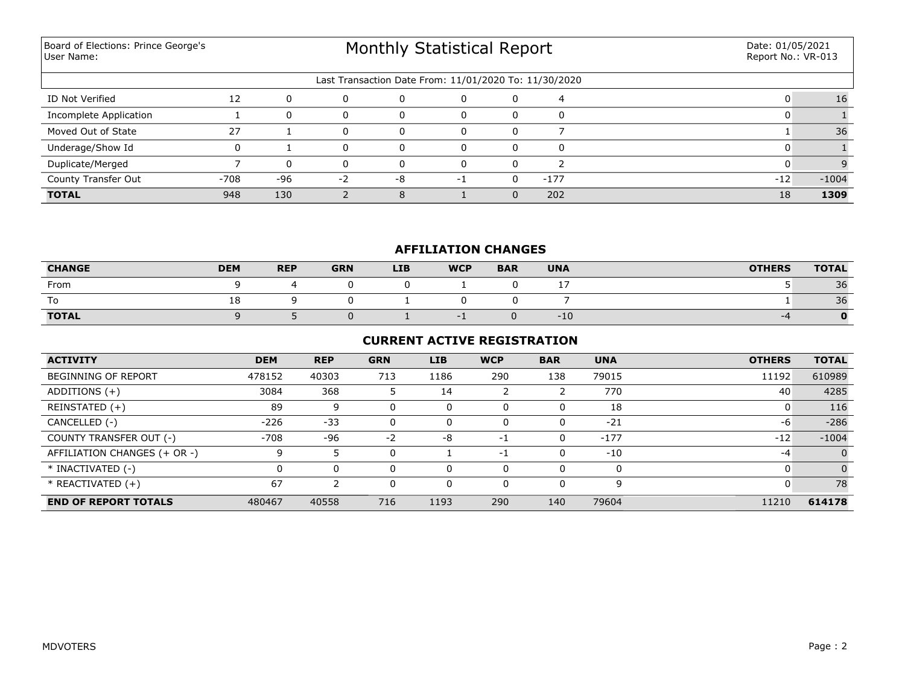Board of Elections: Prince George's User Name:

# Monthly Statistical Report

| Last Transaction Date From: 11/01/2020 To: 11/30/2020 |        |          |     |    |    |  |      |       |         |  |  |
|-------------------------------------------------------|--------|----------|-----|----|----|--|------|-------|---------|--|--|
| ID Not Verified                                       | 12     | $\Omega$ | 0   |    |    |  | 4    |       | 16      |  |  |
| Incomplete Application                                |        | $\Omega$ |     |    |    |  |      |       |         |  |  |
| Moved Out of State                                    | 27     |          |     |    |    |  |      |       | 36      |  |  |
| Underage/Show Id                                      |        |          | 0   |    |    |  |      |       |         |  |  |
| Duplicate/Merged                                      |        | $\Omega$ | n.  |    |    |  |      |       |         |  |  |
| County Transfer Out                                   | $-708$ | -96      | - 2 | -8 | -1 |  | -177 | $-12$ | $-1004$ |  |  |
| <b>TOTAL</b>                                          | 948    | 130      |     |    |    |  | 202  | 18    | 1309    |  |  |

#### **AFFILIATION CHANGES**

| <b>CHANGE</b> | <b>DEM</b> | <b>REP</b> | <b>GRN</b> | <b>LIB</b> | <b>WCP</b> | <b>BAR</b> | <b>UNA</b> | <b>OTHERS</b> | <b>TOTAL</b> |
|---------------|------------|------------|------------|------------|------------|------------|------------|---------------|--------------|
| From          |            |            |            |            |            |            |            |               | 36           |
| To            | τo         |            |            |            |            |            |            |               | 36           |
| <b>TOTAL</b>  |            |            |            |            |            |            | $-10$      | -4            |              |

#### **CURRENT ACTIVE REGISTRATION**

| <b>ACTIVITY</b>              | <b>DEM</b> | <b>REP</b> | <b>GRN</b> | <b>LIB</b> | <b>WCP</b> | <b>BAR</b> | <b>UNA</b> | <b>OTHERS</b> | <b>TOTAL</b> |
|------------------------------|------------|------------|------------|------------|------------|------------|------------|---------------|--------------|
| <b>BEGINNING OF REPORT</b>   | 478152     | 40303      | 713        | 1186       | 290        | 138        | 79015      | 11192         | 610989       |
| ADDITIONS $(+)$              | 3084       | 368        |            | 14         |            |            | 770        | 40            | 4285         |
| REINSTATED (+)               | 89         | 9          |            | 0          | $\Omega$   |            | 18         |               | 116          |
| CANCELLED (-)                | $-226$     | $-33$      | 0          | 0          | $\Omega$   | 0          | $-21$      | -6            | $-286$       |
| COUNTY TRANSFER OUT (-)      | $-708$     | -96        | $-2$       | -8         | -1         | 0          | $-177$     | $-12$         | $-1004$      |
| AFFILIATION CHANGES (+ OR -) | 9          |            | 0          |            | $-1$       | 0          | $-10$      | -4            | $\Omega$     |
| * INACTIVATED (-)            |            | 0          |            | 0          | $\Omega$   |            |            |               | $\Omega$     |
| * REACTIVATED (+)            | 67         |            |            | 0          | 0          | 0          | q          |               | 78           |
| <b>END OF REPORT TOTALS</b>  | 480467     | 40558      | 716        | 1193       | 290        | 140        | 79604      | 11210         | 614178       |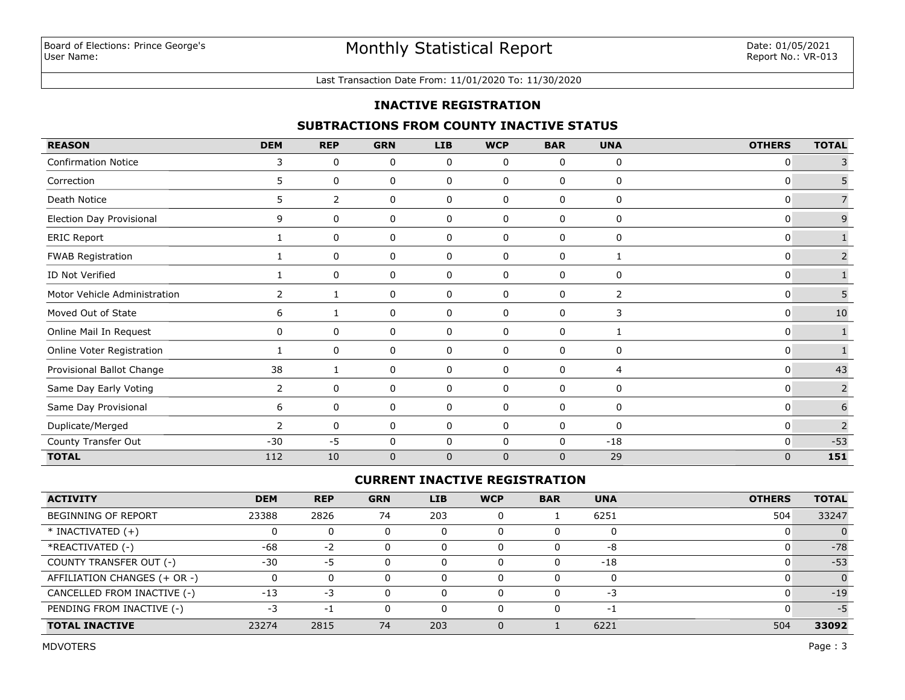#### Last Transaction Date From: 11/01/2020 To: 11/30/2020

#### **INACTIVE REGISTRATION**

#### **SUBTRACTIONS FROM COUNTY INACTIVE STATUS**

| <b>REASON</b>                | <b>DEM</b>     | <b>REP</b>     | <b>GRN</b>  | <b>LIB</b>   | <b>WCP</b> | <b>BAR</b>   | <b>UNA</b> | <b>OTHERS</b> | <b>TOTAL</b>   |
|------------------------------|----------------|----------------|-------------|--------------|------------|--------------|------------|---------------|----------------|
| <b>Confirmation Notice</b>   | 3              | 0              | 0           | 0            | 0          | 0            | 0          | 0             | 3              |
| Correction                   | 5              | 0              | 0           | 0            | 0          | 0            | 0          | 0             | 5              |
| Death Notice                 | 5              | $\overline{2}$ | 0           | 0            | 0          | 0            | 0          | 0             | $\overline{7}$ |
| Election Day Provisional     | 9              | 0              | 0           | 0            | 0          | 0            | 0          | 0             | $\mathsf 9$    |
| <b>ERIC Report</b>           |                | 0              | 0           | 0            | 0          | 0            | 0          | 0             | $\mathbf{1}$   |
| <b>FWAB Registration</b>     |                | 0              | 0           | $\mathbf 0$  | 0          | 0            |            | 0             | $\overline{2}$ |
| ID Not Verified              | 1              | 0              | 0           | 0            | 0          | 0            | 0          | 0             |                |
| Motor Vehicle Administration | $\mathbf{2}$   |                | 0           | 0            | 0          | 0            | 2          | 0             | $\sqrt{5}$     |
| Moved Out of State           | 6              |                | 0           | 0            | 0          | 0            | 3          | 0             | $10\,$         |
| Online Mail In Request       | $\mathbf{0}$   | 0              | 0           | 0            | 0          | 0            | 1          | 0             |                |
| Online Voter Registration    |                | 0              | $\mathbf 0$ | 0            | 0          | 0            | 0          | 0             |                |
| Provisional Ballot Change    | 38             | 1              | 0           | 0            | 0          | 0            | 4          | $\mathbf{0}$  | 43             |
| Same Day Early Voting        | $\overline{2}$ | 0              | 0           | 0            | 0          | 0            | 0          | 0             | $\overline{2}$ |
| Same Day Provisional         | 6              | 0              | 0           | 0            | 0          | 0            | 0          | 0             | $\sqrt{6}$     |
| Duplicate/Merged             | $\overline{2}$ | 0              | 0           | 0            | 0          | 0            | 0          | 0             | $\overline{2}$ |
| County Transfer Out          | $-30$          | $-5$           | 0           | $\mathbf 0$  | 0          | 0            | $-18$      | 0             | $-53$          |
| <b>TOTAL</b>                 | 112            | 10             | $\mathbf 0$ | $\mathbf{0}$ | $\Omega$   | $\mathbf{0}$ | 29         | $\mathbf{0}$  | 151            |

### **CURRENT INACTIVE REGISTRATION**

| <b>ACTIVITY</b>              | <b>DEM</b> | <b>REP</b> | <b>GRN</b> | <b>LIB</b> | <b>WCP</b> | <b>BAR</b> | <b>UNA</b>               | <b>OTHERS</b> | <b>TOTAL</b> |
|------------------------------|------------|------------|------------|------------|------------|------------|--------------------------|---------------|--------------|
| <b>BEGINNING OF REPORT</b>   | 23388      | 2826       | 74         | 203        | 0          |            | 6251                     | 504           | 33247        |
| $*$ INACTIVATED $(+)$        |            | 0          |            | 0          |            |            |                          |               |              |
| *REACTIVATED (-)             | -68        | $-2$       |            | 0          |            |            | -8                       |               | $-78$        |
| COUNTY TRANSFER OUT (-)      | $-30$      | -5         |            | 0          |            |            | $-18$                    |               | $-53$        |
| AFFILIATION CHANGES (+ OR -) |            | 0          |            | O          |            |            |                          |               | $\Omega$     |
| CANCELLED FROM INACTIVE (-)  | $-13$      | -3         |            |            |            |            | -3                       |               | $-19$        |
| PENDING FROM INACTIVE (-)    | -3         | -1         |            |            |            |            | $\overline{\phantom{0}}$ |               | $-5$         |
| <b>TOTAL INACTIVE</b>        | 23274      | 2815       | 74         | 203        |            |            | 6221                     | 504           | 33092        |